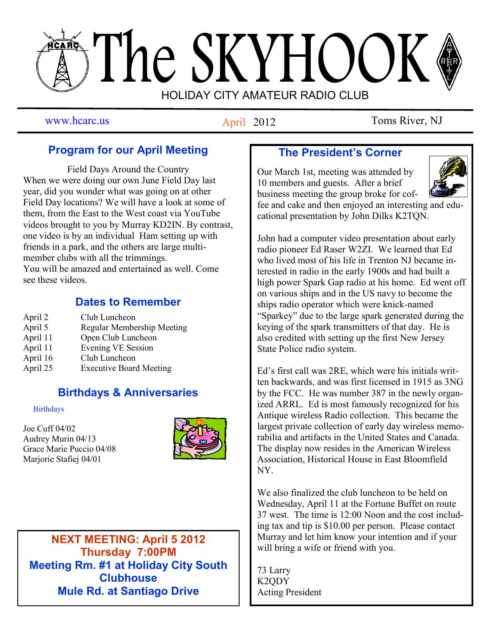# The SKYHOOK HOLIDAY CITY AMATEUR RADIO CLUB

# April 2012

www.hcarc.us **Antil 2012** Toms River, NJ

# **Program for our April Meeting**

Field Days Around the Country When we were doing our own June Field Day last year, did you wonder what was going on at other Field Day locations? We will have a look at some of them, from the East to the West coast via YouTube videos brought to you by Murray KD2IN. By contrast, one video is by an individual Ham setting up with friends in a park, and the others are large multimember clubs with all the trimmings. You will be amazed and entertained as well. Come see these videos.

## **Dates to Remember**

| April 2  | Club Luncheon                  |
|----------|--------------------------------|
| April 5  | Regular Membership Meeting     |
| April 11 | Open Club Luncheon             |
| April 11 | <b>Evening VE Session</b>      |
| April 16 | Club Luncheon                  |
| April 25 | <b>Executive Board Meeting</b> |

# **Birthdays & Anniversaries**

**Birthdays** 

Joe Cuff 04/02 Audrey Murin 04/13 Grace Marie Puccio 04/08 Marjorie Stafiej 04/01



**NEXT MEETING: April 5 2012 Thursday 7:00PM Meeting Rm. #1 at Holiday City South Clubhouse Mule Rd. at Santiago Drive**

# **The President's Corner**

Our March 1st, meeting was attended by 10 members and guests. After a brief business meeting the group broke for coffee and cake and then enjoyed an interesting and edu-

cational presentation by John Dilks K2TQN.



John had a computer video presentation about early radio pioneer Ed Raser W2ZI. We learned that Ed who lived most of his life in Trenton NJ became interested in radio in the early 1900s and had built a high power Spark Gap radio at his home. Ed went off on various ships and in the US navy to become the ships radio operator which were knick-named "Sparkey" due to the large spark generated during the keying of the spark transmitters of that day. He is also credited with setting up the first New Jersey State Police radio system.

Ed's first call was 2RE, which were his initials written backwards, and was first licensed in 1915 as 3NG by the FCC. He was number 387 in the newly organized ARRL. Ed is most famously recognized for his Antique wireless Radio collection. This became the largest private collection of early day wireless memorabilia and artifacts in the United States and Canada. The display now resides in the American Wireless Association, Historical House in East Bloomfield NY.

We also finalized the club luncheon to be held on Wednesday, April 11 at the Fortune Buffet on route 37 west. The time is 12:00 Noon and the cost including tax and tip is \$10.00 per person. Please contact Murray and let him know your intention and if your will bring a wife or friend with you.

73 Larry K2QDY Acting President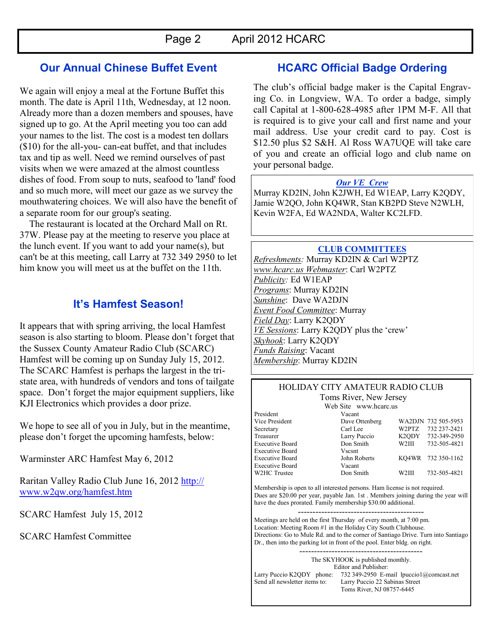## **Our Annual Chinese Buffet Event**

We again will enjoy a meal at the Fortune Buffet this month. The date is April 11th, Wednesday, at 12 noon. Already more than a dozen members and spouses, have signed up to go. At the April meeting you too can add your names to the list. The cost is a modest ten dollars (\$10) for the all-you- can-eat buffet, and that includes tax and tip as well. Need we remind ourselves of past visits when we were amazed at the almost countless dishes of food. From soup to nuts, seafood to 'land' food and so much more, will meet our gaze as we survey the mouthwatering choices. We will also have the benefit of a separate room for our group's seating.

 The restaurant is located at the Orchard Mall on Rt. 37W. Please pay at the meeting to reserve you place at the lunch event. If you want to add your name(s), but can't be at this meeting, call Larry at 732 349 2950 to let him know you will meet us at the buffet on the 11th.

## **It's Hamfest Season!**

It appears that with spring arriving, the local Hamfest season is also starting to bloom. Please don't forget that the Sussex County Amateur Radio Club (SCARC) Hamfest will be coming up on Sunday July 15, 2012. The SCARC Hamfest is perhaps the largest in the tristate area, with hundreds of vendors and tons of tailgate space. Don't forget the major equipment suppliers, like KJI Electronics which provides a door prize.

We hope to see all of you in July, but in the meantime, please don't forget the upcoming hamfests, below:

Warminster ARC Hamfest May 6, 2012

Raritan Valley Radio Club June 16, 2012 [http://](http://www.w2qw.org/hamfest.htm) [www.w2qw.org/hamfest.htm](http://www.w2qw.org/hamfest.htm)

SCARC Hamfest July 15, 2012

SCARC Hamfest Committee

## **HCARC Official Badge Ordering**

The club's official badge maker is the Capital Engraving Co. in Longview, WA. To order a badge, simply call Capital at 1-800-628-4985 after 1PM M-F. All that is required is to give your call and first name and your mail address. Use your credit card to pay. Cost is \$12.50 plus \$2 S&H. Al Ross WA7UQE will take care of you and create an official logo and club name on your personal badge.

#### *Our VE Crew*

Murray KD2IN, John K2JWH, Ed W1EAP, Larry K2QDY, Jamie W2QO, John KQ4WR, Stan KB2PD Steve N2WLH, Kevin W2FA, Ed WA2NDA, Walter KC2LFD.

#### **CLUB COMMITTEES**

*Refreshments:* Murray KD2IN & Carl W2PTZ *www.hcarc.us Webmaster*: Carl W2PTZ *Publicity:* Ed W1EAP *Programs*: Murray KD2IN *Sunshine*: Dave WA2DJN *Event Food Committee*: Murray *Field Day*: Larry K2QDY *VE Sessions*: Larry K2QDY plus the 'crew' *Skyhook*: Larry K2QDY *Funds Raising*: Vacant *Membership*: Murray KD2IN

#### HOLIDAY CITY AMATEUR RADIO CLUB Toms River, New Jersey

|                        | Web Site www.hcarc.us |       |                     |
|------------------------|-----------------------|-------|---------------------|
| President              | Vacant                |       |                     |
| Vice President         | Dave Ottenberg        |       | WA2DJN 732 505-5953 |
| Secretary              | Carl Lee              | W2PTZ | 732 237-2421        |
| Treasurer              | Larry Puccio          |       | K2ODY 732-349-2950  |
| <b>Executive Board</b> | Don Smith             | W2III | 732-505-4821        |
| <b>Executive Board</b> | Vscsnt                |       |                     |
| <b>Executive Board</b> | John Roberts          |       | KO4WR 732 350-1162  |
| <b>Executive Board</b> | Vacant                |       |                     |
| W2HC Trustee           | Don Smith             | W2III | 732-505-4821        |
|                        |                       |       |                     |

Membership is open to all interested persons. Ham license is not required. Dues are \$20.00 per year, payable Jan. 1st . Members joining during the year will have the dues prorated. Family membership \$30.00 additional.

------------------------------------------- Meetings are held on the first Thursday of every month, at 7:00 pm. Location: Meeting Room #1 in the Holiday City South Clubhouse. Directions: Go to Mule Rd. and to the corner of Santiago Drive. Turn into Santiago Dr., then into the parking lot in front of the pool. Enter bldg. on right.

The SKYHOOK is published monthly. Editor and Publisher: Larry Puccio K2QDY phone: 732 349-2950 E-mail lpuccio1@comcast.net<br>Send all newsletter items to: Larry Puccio 22 Sabinas Street Larry Puccio 22 Sabinas Street Toms River, NJ 08757-6445

------------------------------------------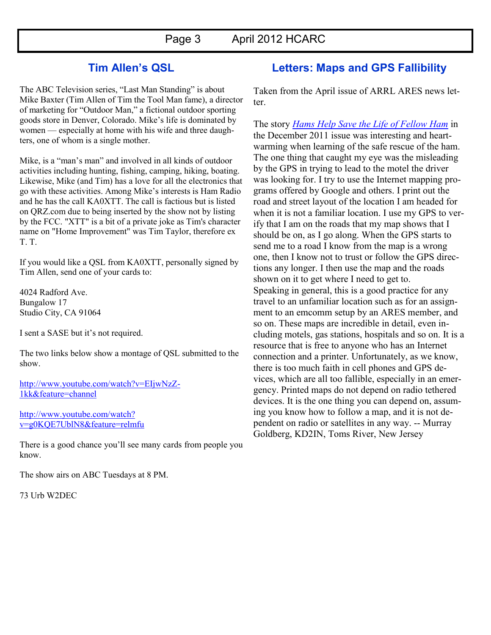## **Tim Allen's QSL**

The ABC Television series, "Last Man Standing" is about Mike Baxter (Tim Allen of Tim the Tool Man fame), a director of marketing for "Outdoor Man," a fictional outdoor sporting goods store in Denver, Colorado. Mike's life is dominated by women — especially at home with his wife and three daughters, one of whom is a single mother.

Mike, is a "man's man" and involved in all kinds of outdoor activities including hunting, fishing, camping, hiking, boating. Likewise, Mike (and Tim) has a love for all the electronics that go with these activities. Among Mike's interests is Ham Radio and he has the call KA0XTT. The call is factious but is listed on QRZ.com due to being inserted by the show not by listing by the FCC. "XTT" is a bit of a private joke as Tim's character name on "Home Improvement" was Tim Taylor, therefore ex T. T.

If you would like a QSL from KA0XTT, personally signed by Tim Allen, send one of your cards to:

4024 Radford Ave. Bungalow 17 Studio City, CA 91064

I sent a SASE but it's not required.

The two links below show a montage of QSL submitted to the show.

[http://www.youtube.com/watch?v=EIjwNzZ-](http://www.youtube.com/watch?v=EIjwNzZ-1kk&feature=channel)[1kk&feature=channel](http://www.youtube.com/watch?v=EIjwNzZ-1kk&feature=channel)

[http://www.youtube.com/watch?](http://www.youtube.com/watch?v=g0KQE7UblN8&feature=relmfu) [v=g0KQE7UblN8&feature=relmfu](http://www.youtube.com/watch?v=g0KQE7UblN8&feature=relmfu)

There is a good chance you'll see many cards from people you know.

The show airs on ABC Tuesdays at 8 PM.

73 Urb W2DEC

## **Letters: Maps and GPS Fallibility**

Taken from the April issue of ARRL ARES news letter.

The story *[Hams Help Save the Life of Fellow Ham](http://www.arrl.org/ares-el?issue=2011-12-21#toc09)* in the December 2011 issue was interesting and heartwarming when learning of the safe rescue of the ham. The one thing that caught my eye was the misleading by the GPS in trying to lead to the motel the driver was looking for. I try to use the Internet mapping programs offered by Google and others. I print out the road and street layout of the location I am headed for when it is not a familiar location. I use my GPS to verify that I am on the roads that my map shows that I should be on, as I go along. When the GPS starts to send me to a road I know from the map is a wrong one, then I know not to trust or follow the GPS directions any longer. I then use the map and the roads shown on it to get where I need to get to. Speaking in general, this is a good practice for any travel to an unfamiliar location such as for an assignment to an emcomm setup by an ARES member, and so on. These maps are incredible in detail, even including motels, gas stations, hospitals and so on. It is a resource that is free to anyone who has an Internet connection and a printer. Unfortunately, as we know, there is too much faith in cell phones and GPS devices, which are all too fallible, especially in an emergency. Printed maps do not depend on radio tethered devices. It is the one thing you can depend on, assuming you know how to follow a map, and it is not dependent on radio or satellites in any way. -- Murray Goldberg, KD2IN, Toms River, New Jersey